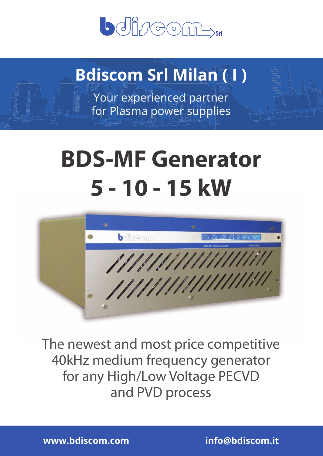

## **Bdiscom Srl Milan ( I )**

Your experienced partner for Plasma power supplies

# **BDS-MF Generator 5 - 10 - 15 kW**



The newest and most price competitive 40kHz medium frequency generator for any High/Low Voltage PECVD and PVD process